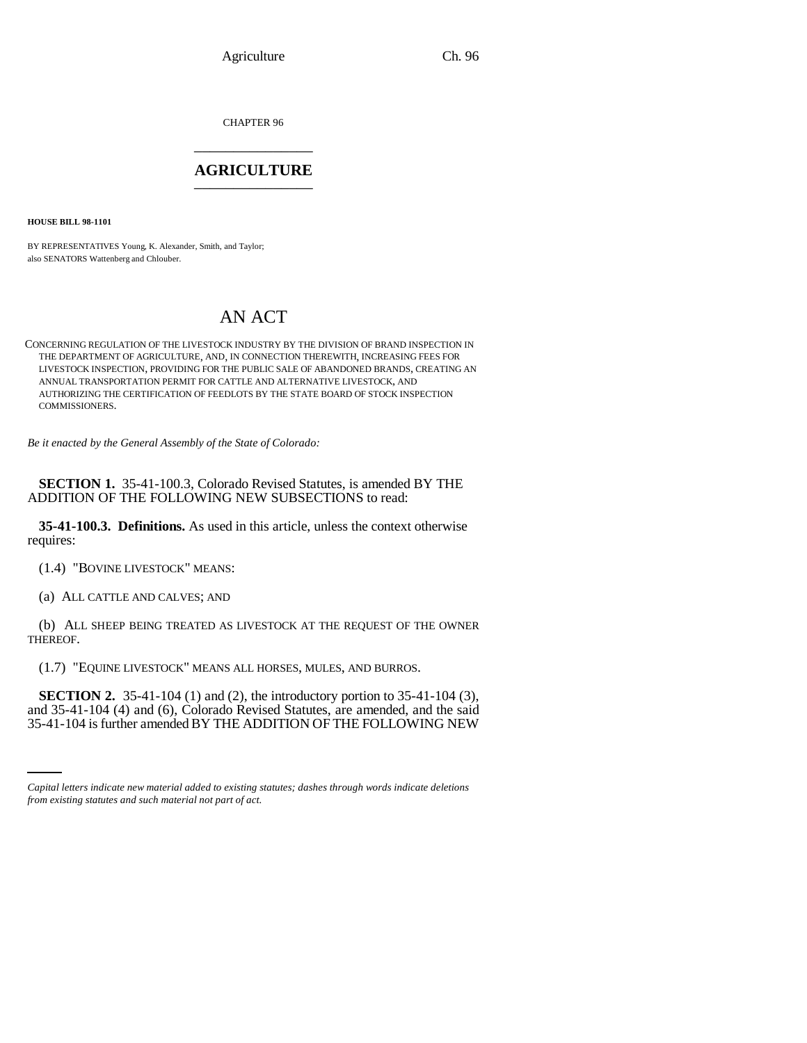CHAPTER 96 \_\_\_\_\_\_\_\_\_\_\_\_\_\_\_

# **AGRICULTURE** \_\_\_\_\_\_\_\_\_\_\_\_\_\_\_

**HOUSE BILL 98-1101**

BY REPRESENTATIVES Young, K. Alexander, Smith, and Taylor; also SENATORS Wattenberg and Chlouber.

# AN ACT

CONCERNING REGULATION OF THE LIVESTOCK INDUSTRY BY THE DIVISION OF BRAND INSPECTION IN THE DEPARTMENT OF AGRICULTURE, AND, IN CONNECTION THEREWITH, INCREASING FEES FOR LIVESTOCK INSPECTION, PROVIDING FOR THE PUBLIC SALE OF ABANDONED BRANDS, CREATING AN ANNUAL TRANSPORTATION PERMIT FOR CATTLE AND ALTERNATIVE LIVESTOCK, AND AUTHORIZING THE CERTIFICATION OF FEEDLOTS BY THE STATE BOARD OF STOCK INSPECTION COMMISSIONERS.

*Be it enacted by the General Assembly of the State of Colorado:*

**SECTION 1.** 35-41-100.3, Colorado Revised Statutes, is amended BY THE ADDITION OF THE FOLLOWING NEW SUBSECTIONS to read:

**35-41-100.3. Definitions.** As used in this article, unless the context otherwise requires:

(1.4) "BOVINE LIVESTOCK" MEANS:

(a) ALL CATTLE AND CALVES; AND

(b) ALL SHEEP BEING TREATED AS LIVESTOCK AT THE REQUEST OF THE OWNER THEREOF.

(1.7) "EQUINE LIVESTOCK" MEANS ALL HORSES, MULES, AND BURROS.

 $\overline{35-41-104}$  (4) and (6), Colorado Revised Statutes, are amended, and the said **SECTION 2.** 35-41-104 (1) and (2), the introductory portion to 35-41-104 (3), 35-41-104 is further amended BY THE ADDITION OF THE FOLLOWING NEW

*Capital letters indicate new material added to existing statutes; dashes through words indicate deletions from existing statutes and such material not part of act.*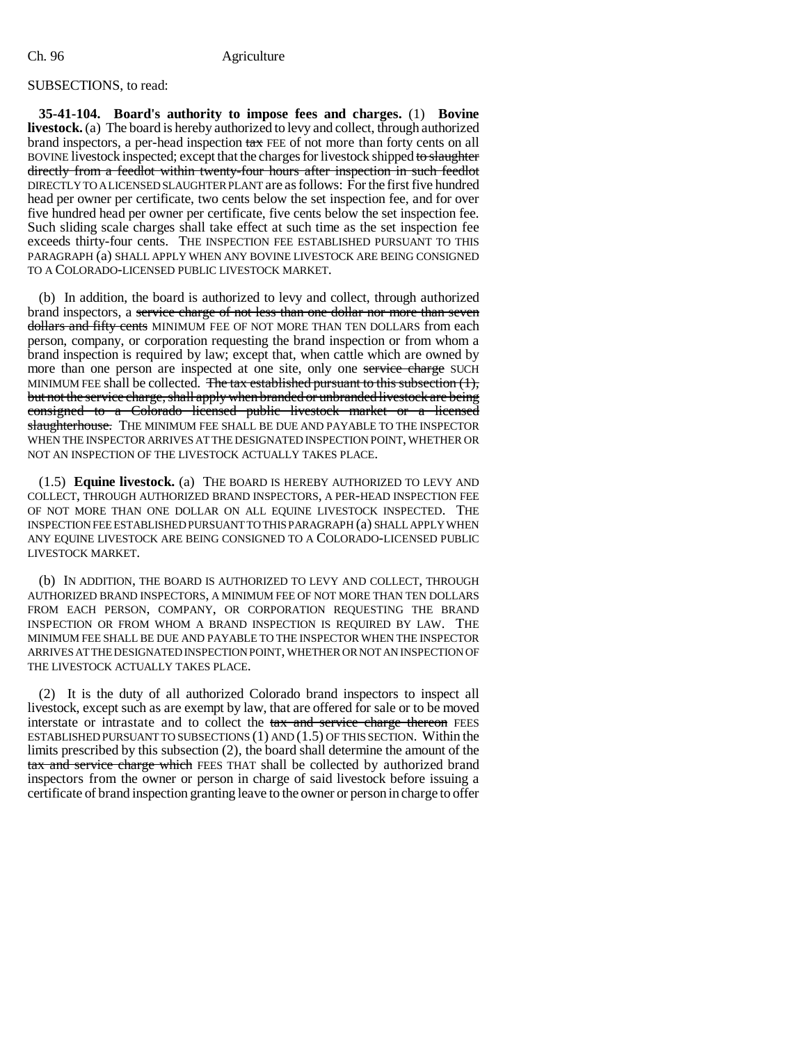# SUBSECTIONS, to read:

**35-41-104. Board's authority to impose fees and charges.** (1) **Bovine livestock.** (a) The board is hereby authorized to levy and collect, through authorized brand inspectors, a per-head inspection tax FEE of not more than forty cents on all BOVINE livestock inspected; except that the charges for livestock shipped to slaughter directly from a feedlot within twenty-four hours after inspection in such feedlot DIRECTLY TO A LICENSED SLAUGHTER PLANT are as follows: For the first five hundred head per owner per certificate, two cents below the set inspection fee, and for over five hundred head per owner per certificate, five cents below the set inspection fee. Such sliding scale charges shall take effect at such time as the set inspection fee exceeds thirty-four cents. THE INSPECTION FEE ESTABLISHED PURSUANT TO THIS PARAGRAPH (a) SHALL APPLY WHEN ANY BOVINE LIVESTOCK ARE BEING CONSIGNED TO A COLORADO-LICENSED PUBLIC LIVESTOCK MARKET.

(b) In addition, the board is authorized to levy and collect, through authorized brand inspectors, a service charge of not less than one dollar nor more than seven dollars and fifty cents MINIMUM FEE OF NOT MORE THAN TEN DOLLARS from each person, company, or corporation requesting the brand inspection or from whom a brand inspection is required by law; except that, when cattle which are owned by more than one person are inspected at one site, only one service charge SUCH MINIMUM FEE shall be collected. The tax established pursuant to this subsection (1), but not the service charge, shall apply when branded or unbranded livestock are being consigned to a Colorado licensed public livestock market or a licensed slaughterhouse. THE MINIMUM FEE SHALL BE DUE AND PAYABLE TO THE INSPECTOR WHEN THE INSPECTOR ARRIVES AT THE DESIGNATED INSPECTION POINT, WHETHER OR NOT AN INSPECTION OF THE LIVESTOCK ACTUALLY TAKES PLACE.

(1.5) **Equine livestock.** (a) THE BOARD IS HEREBY AUTHORIZED TO LEVY AND COLLECT, THROUGH AUTHORIZED BRAND INSPECTORS, A PER-HEAD INSPECTION FEE OF NOT MORE THAN ONE DOLLAR ON ALL EQUINE LIVESTOCK INSPECTED. THE INSPECTION FEE ESTABLISHED PURSUANT TO THIS PARAGRAPH (a) SHALL APPLY WHEN ANY EQUINE LIVESTOCK ARE BEING CONSIGNED TO A COLORADO-LICENSED PUBLIC LIVESTOCK MARKET.

(b) IN ADDITION, THE BOARD IS AUTHORIZED TO LEVY AND COLLECT, THROUGH AUTHORIZED BRAND INSPECTORS, A MINIMUM FEE OF NOT MORE THAN TEN DOLLARS FROM EACH PERSON, COMPANY, OR CORPORATION REQUESTING THE BRAND INSPECTION OR FROM WHOM A BRAND INSPECTION IS REQUIRED BY LAW. THE MINIMUM FEE SHALL BE DUE AND PAYABLE TO THE INSPECTOR WHEN THE INSPECTOR ARRIVES AT THE DESIGNATED INSPECTION POINT, WHETHER OR NOT AN INSPECTION OF THE LIVESTOCK ACTUALLY TAKES PLACE.

(2) It is the duty of all authorized Colorado brand inspectors to inspect all livestock, except such as are exempt by law, that are offered for sale or to be moved interstate or intrastate and to collect the tax and service charge thereon FEES ESTABLISHED PURSUANT TO SUBSECTIONS (1) AND (1.5) OF THIS SECTION. Within the limits prescribed by this subsection (2), the board shall determine the amount of the tax and service charge which FEES THAT shall be collected by authorized brand inspectors from the owner or person in charge of said livestock before issuing a certificate of brand inspection granting leave to the owner or person in charge to offer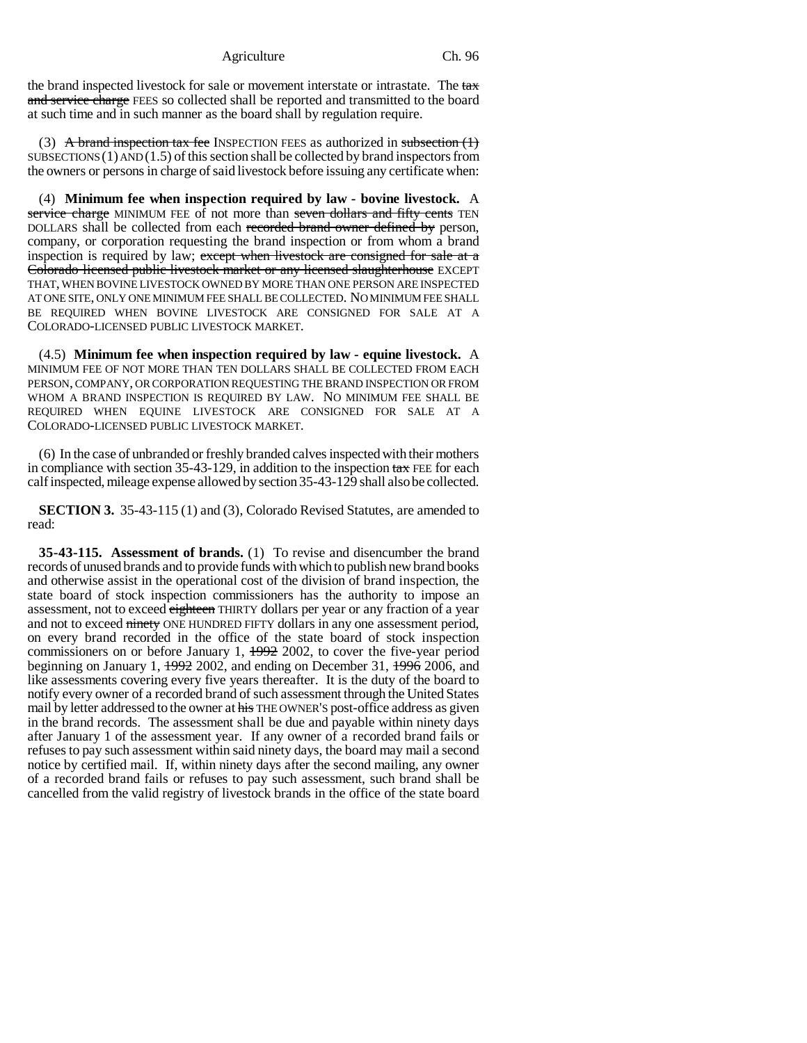the brand inspected livestock for sale or movement interstate or intrastate. The tax and service charge FEES so collected shall be reported and transmitted to the board at such time and in such manner as the board shall by regulation require.

(3) A brand inspection tax fee INSPECTION FEES as authorized in subsection  $(1)$  $SUBSECTIONS(1)$   $AND(1.5)$  of this section shall be collected by brand inspectors from the owners or persons in charge of said livestock before issuing any certificate when:

(4) **Minimum fee when inspection required by law - bovine livestock.** A service charge MINIMUM FEE of not more than seven dollars and fifty cents TEN DOLLARS shall be collected from each recorded brand owner defined by person, company, or corporation requesting the brand inspection or from whom a brand inspection is required by law; except when livestock are consigned for sale at a Colorado licensed public livestock market or any licensed slaughterhouse EXCEPT THAT, WHEN BOVINE LIVESTOCK OWNED BY MORE THAN ONE PERSON ARE INSPECTED AT ONE SITE, ONLY ONE MINIMUM FEE SHALL BE COLLECTED. NO MINIMUM FEE SHALL BE REQUIRED WHEN BOVINE LIVESTOCK ARE CONSIGNED FOR SALE AT A COLORADO-LICENSED PUBLIC LIVESTOCK MARKET.

(4.5) **Minimum fee when inspection required by law - equine livestock.** A MINIMUM FEE OF NOT MORE THAN TEN DOLLARS SHALL BE COLLECTED FROM EACH PERSON, COMPANY, OR CORPORATION REQUESTING THE BRAND INSPECTION OR FROM WHOM A BRAND INSPECTION IS REQUIRED BY LAW. NO MINIMUM FEE SHALL BE REQUIRED WHEN EQUINE LIVESTOCK ARE CONSIGNED FOR SALE AT A COLORADO-LICENSED PUBLIC LIVESTOCK MARKET.

(6) In the case of unbranded or freshly branded calves inspected with their mothers in compliance with section  $35-43-129$ , in addition to the inspection  $\frac{\tan x}{\tan x}$  FEE for each calf inspected, mileage expense allowed by section 35-43-129 shall also be collected.

**SECTION 3.** 35-43-115 (1) and (3), Colorado Revised Statutes, are amended to read:

**35-43-115. Assessment of brands.** (1) To revise and disencumber the brand records of unused brands and to provide funds with which to publish new brand books and otherwise assist in the operational cost of the division of brand inspection, the state board of stock inspection commissioners has the authority to impose an assessment, not to exceed eighteen THIRTY dollars per year or any fraction of a year and not to exceed ninety ONE HUNDRED FIFTY dollars in any one assessment period, on every brand recorded in the office of the state board of stock inspection commissioners on or before January 1, 1992 2002, to cover the five-year period beginning on January 1,  $\frac{1992}{2002}$ , and ending on December 31,  $\frac{1996}{2006}$ , and like assessments covering every five years thereafter. It is the duty of the board to notify every owner of a recorded brand of such assessment through the United States mail by letter addressed to the owner at his THE OWNER'S post-office address as given in the brand records. The assessment shall be due and payable within ninety days after January 1 of the assessment year. If any owner of a recorded brand fails or refuses to pay such assessment within said ninety days, the board may mail a second notice by certified mail. If, within ninety days after the second mailing, any owner of a recorded brand fails or refuses to pay such assessment, such brand shall be cancelled from the valid registry of livestock brands in the office of the state board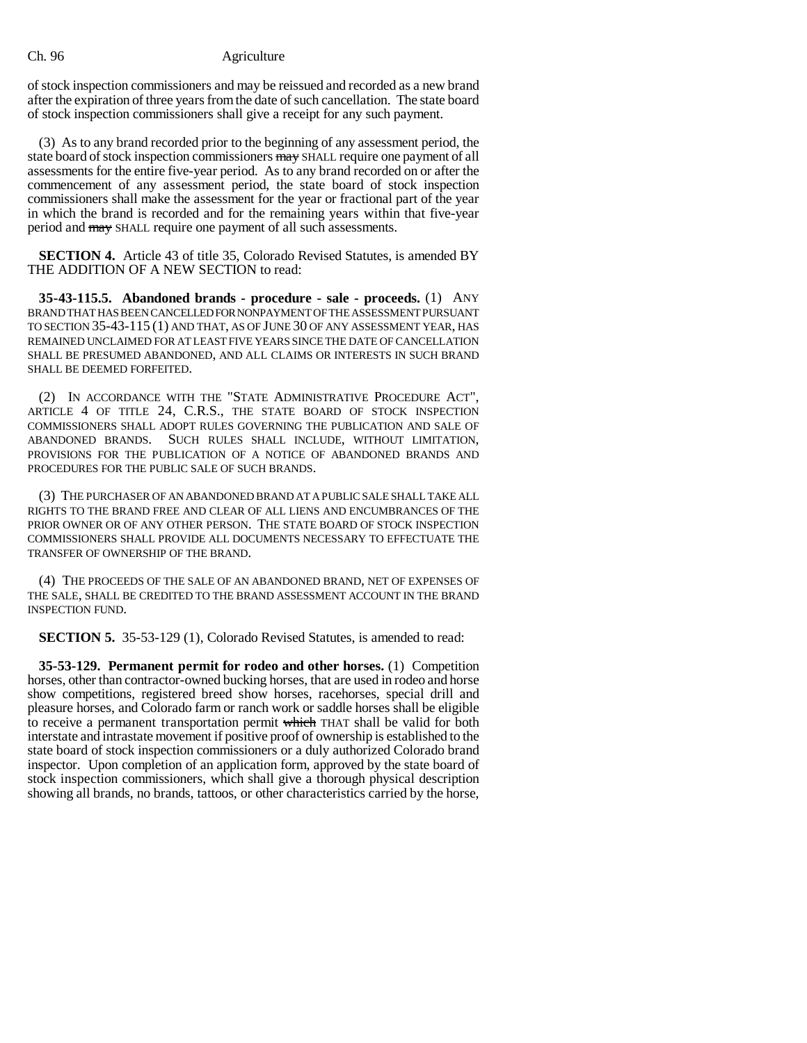of stock inspection commissioners and may be reissued and recorded as a new brand after the expiration of three years from the date of such cancellation. The state board of stock inspection commissioners shall give a receipt for any such payment.

(3) As to any brand recorded prior to the beginning of any assessment period, the state board of stock inspection commissioners may SHALL require one payment of all assessments for the entire five-year period. As to any brand recorded on or after the commencement of any assessment period, the state board of stock inspection commissioners shall make the assessment for the year or fractional part of the year in which the brand is recorded and for the remaining years within that five-year period and may SHALL require one payment of all such assessments.

**SECTION 4.** Article 43 of title 35, Colorado Revised Statutes, is amended BY THE ADDITION OF A NEW SECTION to read:

**35-43-115.5. Abandoned brands - procedure - sale - proceeds.** (1) ANY BRAND THAT HAS BEEN CANCELLED FOR NONPAYMENT OF THE ASSESSMENT PURSUANT TO SECTION 35-43-115 (1) AND THAT, AS OF JUNE 30 OF ANY ASSESSMENT YEAR, HAS REMAINED UNCLAIMED FOR AT LEAST FIVE YEARS SINCE THE DATE OF CANCELLATION SHALL BE PRESUMED ABANDONED, AND ALL CLAIMS OR INTERESTS IN SUCH BRAND SHALL BE DEEMED FORFEITED.

(2) IN ACCORDANCE WITH THE "STATE ADMINISTRATIVE PROCEDURE ACT", ARTICLE 4 OF TITLE 24, C.R.S., THE STATE BOARD OF STOCK INSPECTION COMMISSIONERS SHALL ADOPT RULES GOVERNING THE PUBLICATION AND SALE OF ABANDONED BRANDS. SUCH RULES SHALL INCLUDE, WITHOUT LIMITATION, PROVISIONS FOR THE PUBLICATION OF A NOTICE OF ABANDONED BRANDS AND PROCEDURES FOR THE PUBLIC SALE OF SUCH BRANDS.

(3) THE PURCHASER OF AN ABANDONED BRAND AT A PUBLIC SALE SHALL TAKE ALL RIGHTS TO THE BRAND FREE AND CLEAR OF ALL LIENS AND ENCUMBRANCES OF THE PRIOR OWNER OR OF ANY OTHER PERSON. THE STATE BOARD OF STOCK INSPECTION COMMISSIONERS SHALL PROVIDE ALL DOCUMENTS NECESSARY TO EFFECTUATE THE TRANSFER OF OWNERSHIP OF THE BRAND.

(4) THE PROCEEDS OF THE SALE OF AN ABANDONED BRAND, NET OF EXPENSES OF THE SALE, SHALL BE CREDITED TO THE BRAND ASSESSMENT ACCOUNT IN THE BRAND INSPECTION FUND.

**SECTION 5.** 35-53-129 (1), Colorado Revised Statutes, is amended to read:

**35-53-129. Permanent permit for rodeo and other horses.** (1) Competition horses, other than contractor-owned bucking horses, that are used in rodeo and horse show competitions, registered breed show horses, racehorses, special drill and pleasure horses, and Colorado farm or ranch work or saddle horses shall be eligible to receive a permanent transportation permit which THAT shall be valid for both interstate and intrastate movement if positive proof of ownership is established to the state board of stock inspection commissioners or a duly authorized Colorado brand inspector. Upon completion of an application form, approved by the state board of stock inspection commissioners, which shall give a thorough physical description showing all brands, no brands, tattoos, or other characteristics carried by the horse,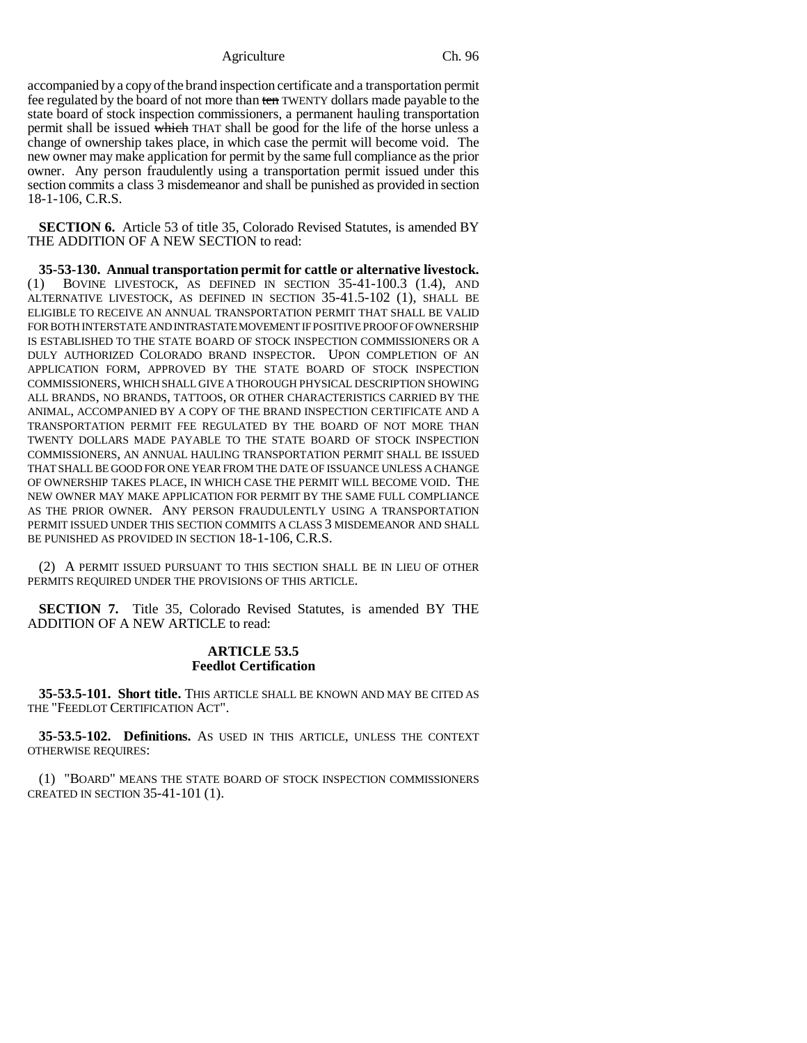accompanied by a copy of the brand inspection certificate and a transportation permit fee regulated by the board of not more than ten TWENTY dollars made payable to the state board of stock inspection commissioners, a permanent hauling transportation permit shall be issued which THAT shall be good for the life of the horse unless a change of ownership takes place, in which case the permit will become void. The new owner may make application for permit by the same full compliance as the prior owner. Any person fraudulently using a transportation permit issued under this section commits a class 3 misdemeanor and shall be punished as provided in section 18-1-106, C.R.S.

**SECTION 6.** Article 53 of title 35, Colorado Revised Statutes, is amended BY THE ADDITION OF A NEW SECTION to read:

**35-53-130. Annual transportation permit for cattle or alternative livestock.** (1) BOVINE LIVESTOCK, AS DEFINED IN SECTION 35-41-100.3 (1.4), AND ALTERNATIVE LIVESTOCK, AS DEFINED IN SECTION 35-41.5-102 (1), SHALL BE ELIGIBLE TO RECEIVE AN ANNUAL TRANSPORTATION PERMIT THAT SHALL BE VALID FOR BOTH INTERSTATE AND INTRASTATE MOVEMENT IF POSITIVE PROOF OF OWNERSHIP IS ESTABLISHED TO THE STATE BOARD OF STOCK INSPECTION COMMISSIONERS OR A DULY AUTHORIZED COLORADO BRAND INSPECTOR. UPON COMPLETION OF AN APPLICATION FORM, APPROVED BY THE STATE BOARD OF STOCK INSPECTION COMMISSIONERS, WHICH SHALL GIVE A THOROUGH PHYSICAL DESCRIPTION SHOWING ALL BRANDS, NO BRANDS, TATTOOS, OR OTHER CHARACTERISTICS CARRIED BY THE ANIMAL, ACCOMPANIED BY A COPY OF THE BRAND INSPECTION CERTIFICATE AND A TRANSPORTATION PERMIT FEE REGULATED BY THE BOARD OF NOT MORE THAN TWENTY DOLLARS MADE PAYABLE TO THE STATE BOARD OF STOCK INSPECTION COMMISSIONERS, AN ANNUAL HAULING TRANSPORTATION PERMIT SHALL BE ISSUED THAT SHALL BE GOOD FOR ONE YEAR FROM THE DATE OF ISSUANCE UNLESS A CHANGE OF OWNERSHIP TAKES PLACE, IN WHICH CASE THE PERMIT WILL BECOME VOID. THE NEW OWNER MAY MAKE APPLICATION FOR PERMIT BY THE SAME FULL COMPLIANCE AS THE PRIOR OWNER. ANY PERSON FRAUDULENTLY USING A TRANSPORTATION PERMIT ISSUED UNDER THIS SECTION COMMITS A CLASS 3 MISDEMEANOR AND SHALL BE PUNISHED AS PROVIDED IN SECTION 18-1-106, C.R.S.

(2) A PERMIT ISSUED PURSUANT TO THIS SECTION SHALL BE IN LIEU OF OTHER PERMITS REQUIRED UNDER THE PROVISIONS OF THIS ARTICLE.

**SECTION 7.** Title 35, Colorado Revised Statutes, is amended BY THE ADDITION OF A NEW ARTICLE to read:

# **ARTICLE 53.5 Feedlot Certification**

**35-53.5-101. Short title.** THIS ARTICLE SHALL BE KNOWN AND MAY BE CITED AS THE "FEEDLOT CERTIFICATION ACT".

**35-53.5-102. Definitions.** AS USED IN THIS ARTICLE, UNLESS THE CONTEXT OTHERWISE REQUIRES:

(1) "BOARD" MEANS THE STATE BOARD OF STOCK INSPECTION COMMISSIONERS CREATED IN SECTION 35-41-101 (1).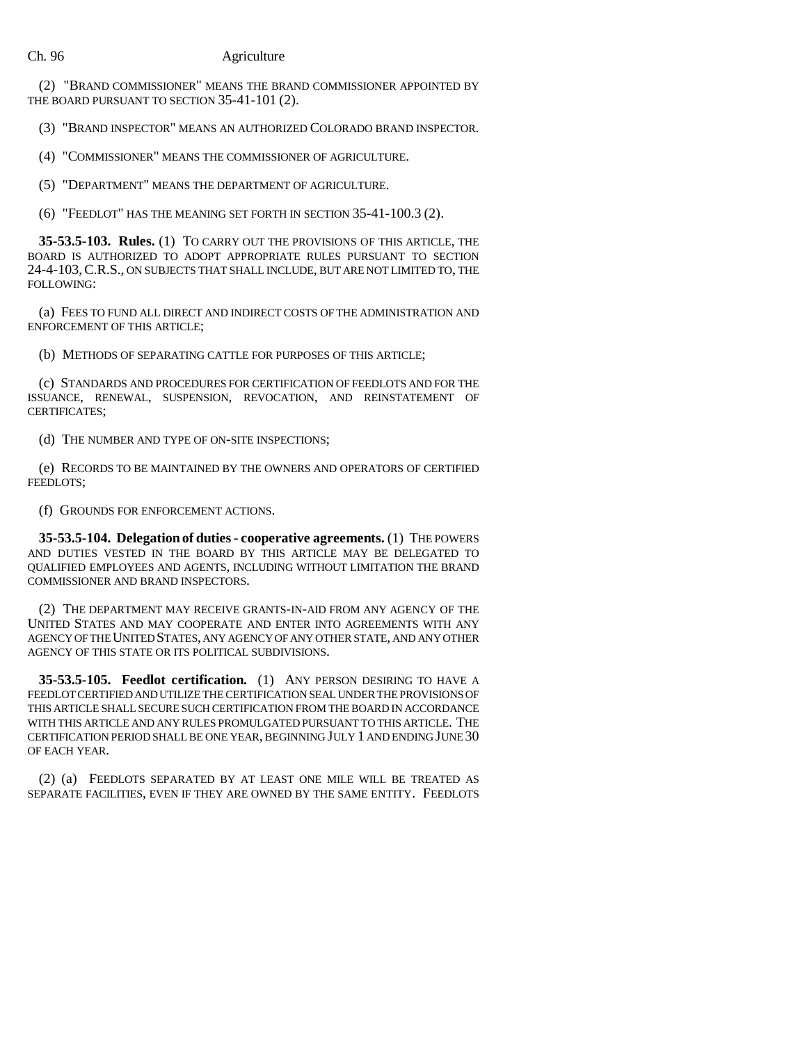(2) "BRAND COMMISSIONER" MEANS THE BRAND COMMISSIONER APPOINTED BY THE BOARD PURSUANT TO SECTION 35-41-101 (2).

(3) "BRAND INSPECTOR" MEANS AN AUTHORIZED COLORADO BRAND INSPECTOR.

(4) "COMMISSIONER" MEANS THE COMMISSIONER OF AGRICULTURE.

(5) "DEPARTMENT" MEANS THE DEPARTMENT OF AGRICULTURE.

(6) "FEEDLOT" HAS THE MEANING SET FORTH IN SECTION 35-41-100.3 (2).

**35-53.5-103. Rules.** (1) TO CARRY OUT THE PROVISIONS OF THIS ARTICLE, THE BOARD IS AUTHORIZED TO ADOPT APPROPRIATE RULES PURSUANT TO SECTION 24-4-103,C.R.S., ON SUBJECTS THAT SHALL INCLUDE, BUT ARE NOT LIMITED TO, THE FOLLOWING:

(a) FEES TO FUND ALL DIRECT AND INDIRECT COSTS OF THE ADMINISTRATION AND ENFORCEMENT OF THIS ARTICLE;

(b) METHODS OF SEPARATING CATTLE FOR PURPOSES OF THIS ARTICLE;

(c) STANDARDS AND PROCEDURES FOR CERTIFICATION OF FEEDLOTS AND FOR THE ISSUANCE, RENEWAL, SUSPENSION, REVOCATION, AND REINSTATEMENT OF CERTIFICATES;

(d) THE NUMBER AND TYPE OF ON-SITE INSPECTIONS;

(e) RECORDS TO BE MAINTAINED BY THE OWNERS AND OPERATORS OF CERTIFIED FEEDLOTS;

(f) GROUNDS FOR ENFORCEMENT ACTIONS.

**35-53.5-104. Delegation of duties - cooperative agreements.** (1) THE POWERS AND DUTIES VESTED IN THE BOARD BY THIS ARTICLE MAY BE DELEGATED TO QUALIFIED EMPLOYEES AND AGENTS, INCLUDING WITHOUT LIMITATION THE BRAND COMMISSIONER AND BRAND INSPECTORS.

(2) THE DEPARTMENT MAY RECEIVE GRANTS-IN-AID FROM ANY AGENCY OF THE UNITED STATES AND MAY COOPERATE AND ENTER INTO AGREEMENTS WITH ANY AGENCY OF THE UNITED STATES, ANY AGENCY OF ANY OTHER STATE, AND ANY OTHER AGENCY OF THIS STATE OR ITS POLITICAL SUBDIVISIONS.

**35-53.5-105. Feedlot certification.** (1) ANY PERSON DESIRING TO HAVE A FEEDLOT CERTIFIED AND UTILIZE THE CERTIFICATION SEAL UNDER THE PROVISIONS OF THIS ARTICLE SHALL SECURE SUCH CERTIFICATION FROM THE BOARD IN ACCORDANCE WITH THIS ARTICLE AND ANY RULES PROMULGATED PURSUANT TO THIS ARTICLE. THE CERTIFICATION PERIOD SHALL BE ONE YEAR, BEGINNING JULY 1 AND ENDING JUNE 30 OF EACH YEAR.

(2) (a) FEEDLOTS SEPARATED BY AT LEAST ONE MILE WILL BE TREATED AS SEPARATE FACILITIES, EVEN IF THEY ARE OWNED BY THE SAME ENTITY. FEEDLOTS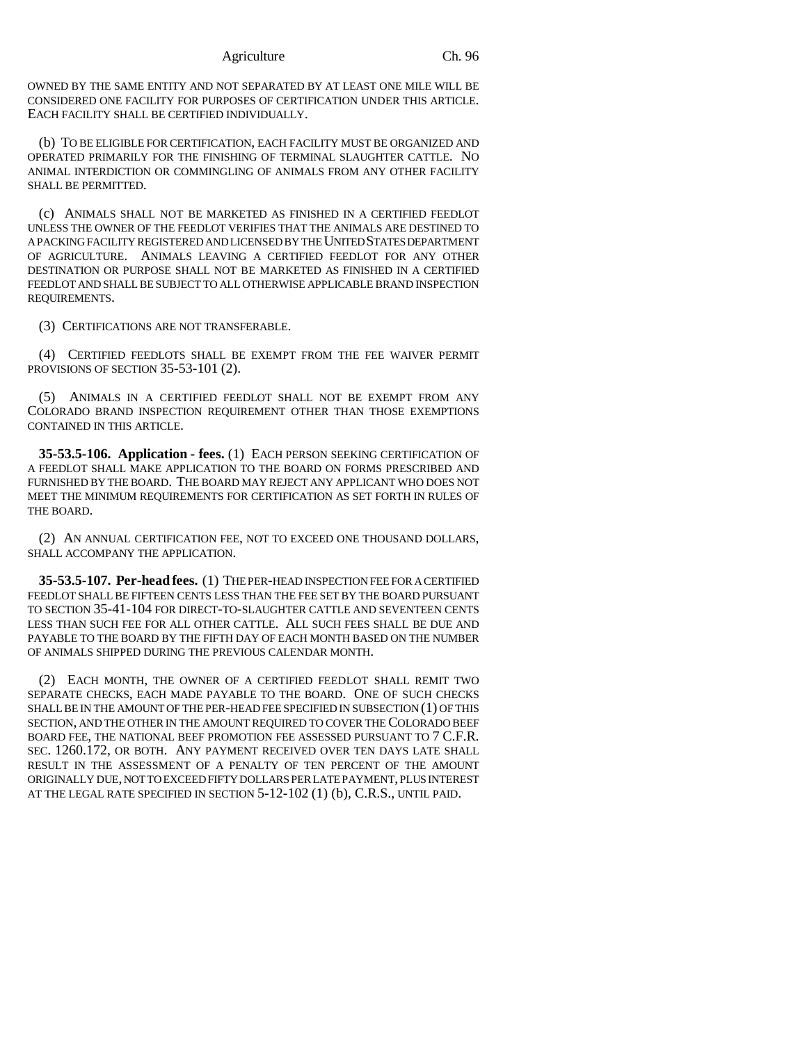OWNED BY THE SAME ENTITY AND NOT SEPARATED BY AT LEAST ONE MILE WILL BE CONSIDERED ONE FACILITY FOR PURPOSES OF CERTIFICATION UNDER THIS ARTICLE. EACH FACILITY SHALL BE CERTIFIED INDIVIDUALLY.

(b) TO BE ELIGIBLE FOR CERTIFICATION, EACH FACILITY MUST BE ORGANIZED AND OPERATED PRIMARILY FOR THE FINISHING OF TERMINAL SLAUGHTER CATTLE. NO ANIMAL INTERDICTION OR COMMINGLING OF ANIMALS FROM ANY OTHER FACILITY SHALL BE PERMITTED.

(c) ANIMALS SHALL NOT BE MARKETED AS FINISHED IN A CERTIFIED FEEDLOT UNLESS THE OWNER OF THE FEEDLOT VERIFIES THAT THE ANIMALS ARE DESTINED TO A PACKING FACILITY REGISTERED AND LICENSED BY THE UNITED STATES DEPARTMENT OF AGRICULTURE. ANIMALS LEAVING A CERTIFIED FEEDLOT FOR ANY OTHER DESTINATION OR PURPOSE SHALL NOT BE MARKETED AS FINISHED IN A CERTIFIED FEEDLOT AND SHALL BE SUBJECT TO ALL OTHERWISE APPLICABLE BRAND INSPECTION REQUIREMENTS.

(3) CERTIFICATIONS ARE NOT TRANSFERABLE.

(4) CERTIFIED FEEDLOTS SHALL BE EXEMPT FROM THE FEE WAIVER PERMIT PROVISIONS OF SECTION 35-53-101 (2).

(5) ANIMALS IN A CERTIFIED FEEDLOT SHALL NOT BE EXEMPT FROM ANY COLORADO BRAND INSPECTION REQUIREMENT OTHER THAN THOSE EXEMPTIONS CONTAINED IN THIS ARTICLE.

**35-53.5-106. Application - fees.** (1) EACH PERSON SEEKING CERTIFICATION OF A FEEDLOT SHALL MAKE APPLICATION TO THE BOARD ON FORMS PRESCRIBED AND FURNISHED BY THE BOARD. THE BOARD MAY REJECT ANY APPLICANT WHO DOES NOT MEET THE MINIMUM REQUIREMENTS FOR CERTIFICATION AS SET FORTH IN RULES OF THE BOARD.

(2) AN ANNUAL CERTIFICATION FEE, NOT TO EXCEED ONE THOUSAND DOLLARS, SHALL ACCOMPANY THE APPLICATION.

**35-53.5-107. Per-head fees.** (1) THE PER-HEAD INSPECTION FEE FOR A CERTIFIED FEEDLOT SHALL BE FIFTEEN CENTS LESS THAN THE FEE SET BY THE BOARD PURSUANT TO SECTION 35-41-104 FOR DIRECT-TO-SLAUGHTER CATTLE AND SEVENTEEN CENTS LESS THAN SUCH FEE FOR ALL OTHER CATTLE. ALL SUCH FEES SHALL BE DUE AND PAYABLE TO THE BOARD BY THE FIFTH DAY OF EACH MONTH BASED ON THE NUMBER OF ANIMALS SHIPPED DURING THE PREVIOUS CALENDAR MONTH.

(2) EACH MONTH, THE OWNER OF A CERTIFIED FEEDLOT SHALL REMIT TWO SEPARATE CHECKS, EACH MADE PAYABLE TO THE BOARD. ONE OF SUCH CHECKS SHALL BE IN THE AMOUNT OF THE PER-HEAD FEE SPECIFIED IN SUBSECTION (1) OF THIS SECTION, AND THE OTHER IN THE AMOUNT REQUIRED TO COVER THE COLORADO BEEF BOARD FEE, THE NATIONAL BEEF PROMOTION FEE ASSESSED PURSUANT TO 7 C.F.R. SEC. 1260.172, OR BOTH. ANY PAYMENT RECEIVED OVER TEN DAYS LATE SHALL RESULT IN THE ASSESSMENT OF A PENALTY OF TEN PERCENT OF THE AMOUNT ORIGINALLY DUE, NOT TO EXCEED FIFTY DOLLARS PER LATE PAYMENT, PLUS INTEREST AT THE LEGAL RATE SPECIFIED IN SECTION 5-12-102 (1) (b), C.R.S., UNTIL PAID.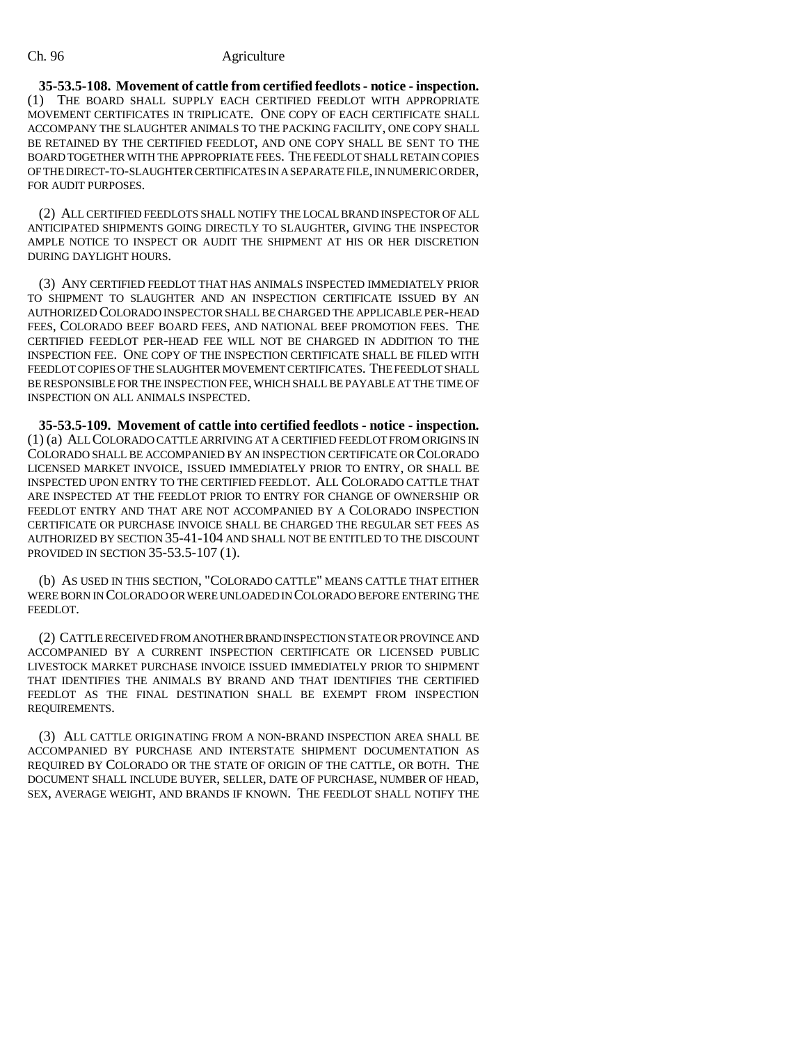**35-53.5-108. Movement of cattle from certified feedlots - notice - inspection.** (1) THE BOARD SHALL SUPPLY EACH CERTIFIED FEEDLOT WITH APPROPRIATE MOVEMENT CERTIFICATES IN TRIPLICATE. ONE COPY OF EACH CERTIFICATE SHALL ACCOMPANY THE SLAUGHTER ANIMALS TO THE PACKING FACILITY, ONE COPY SHALL BE RETAINED BY THE CERTIFIED FEEDLOT, AND ONE COPY SHALL BE SENT TO THE BOARD TOGETHER WITH THE APPROPRIATE FEES. THE FEEDLOT SHALL RETAIN COPIES OF THE DIRECT-TO-SLAUGHTER CERTIFICATES IN A SEPARATE FILE, IN NUMERIC ORDER, FOR AUDIT PURPOSES.

(2) ALL CERTIFIED FEEDLOTS SHALL NOTIFY THE LOCAL BRAND INSPECTOR OF ALL ANTICIPATED SHIPMENTS GOING DIRECTLY TO SLAUGHTER, GIVING THE INSPECTOR AMPLE NOTICE TO INSPECT OR AUDIT THE SHIPMENT AT HIS OR HER DISCRETION DURING DAYLIGHT HOURS.

(3) ANY CERTIFIED FEEDLOT THAT HAS ANIMALS INSPECTED IMMEDIATELY PRIOR TO SHIPMENT TO SLAUGHTER AND AN INSPECTION CERTIFICATE ISSUED BY AN AUTHORIZED COLORADO INSPECTOR SHALL BE CHARGED THE APPLICABLE PER-HEAD FEES, COLORADO BEEF BOARD FEES, AND NATIONAL BEEF PROMOTION FEES. THE CERTIFIED FEEDLOT PER-HEAD FEE WILL NOT BE CHARGED IN ADDITION TO THE INSPECTION FEE. ONE COPY OF THE INSPECTION CERTIFICATE SHALL BE FILED WITH FEEDLOT COPIES OF THE SLAUGHTER MOVEMENT CERTIFICATES. THE FEEDLOT SHALL BE RESPONSIBLE FOR THE INSPECTION FEE, WHICH SHALL BE PAYABLE AT THE TIME OF INSPECTION ON ALL ANIMALS INSPECTED.

**35-53.5-109. Movement of cattle into certified feedlots - notice - inspection.** (1) (a) ALL COLORADO CATTLE ARRIVING AT A CERTIFIED FEEDLOT FROM ORIGINS IN COLORADO SHALL BE ACCOMPANIED BY AN INSPECTION CERTIFICATE OR COLORADO LICENSED MARKET INVOICE, ISSUED IMMEDIATELY PRIOR TO ENTRY, OR SHALL BE INSPECTED UPON ENTRY TO THE CERTIFIED FEEDLOT. ALL COLORADO CATTLE THAT ARE INSPECTED AT THE FEEDLOT PRIOR TO ENTRY FOR CHANGE OF OWNERSHIP OR FEEDLOT ENTRY AND THAT ARE NOT ACCOMPANIED BY A COLORADO INSPECTION CERTIFICATE OR PURCHASE INVOICE SHALL BE CHARGED THE REGULAR SET FEES AS AUTHORIZED BY SECTION 35-41-104 AND SHALL NOT BE ENTITLED TO THE DISCOUNT PROVIDED IN SECTION 35-53.5-107 (1).

(b) AS USED IN THIS SECTION, "COLORADO CATTLE" MEANS CATTLE THAT EITHER WERE BORN IN COLORADO OR WERE UNLOADED IN COLORADO BEFORE ENTERING THE FEEDLOT.

(2) CATTLE RECEIVED FROM ANOTHER BRAND INSPECTION STATE OR PROVINCE AND ACCOMPANIED BY A CURRENT INSPECTION CERTIFICATE OR LICENSED PUBLIC LIVESTOCK MARKET PURCHASE INVOICE ISSUED IMMEDIATELY PRIOR TO SHIPMENT THAT IDENTIFIES THE ANIMALS BY BRAND AND THAT IDENTIFIES THE CERTIFIED FEEDLOT AS THE FINAL DESTINATION SHALL BE EXEMPT FROM INSPECTION REQUIREMENTS.

(3) ALL CATTLE ORIGINATING FROM A NON-BRAND INSPECTION AREA SHALL BE ACCOMPANIED BY PURCHASE AND INTERSTATE SHIPMENT DOCUMENTATION AS REQUIRED BY COLORADO OR THE STATE OF ORIGIN OF THE CATTLE, OR BOTH. THE DOCUMENT SHALL INCLUDE BUYER, SELLER, DATE OF PURCHASE, NUMBER OF HEAD, SEX, AVERAGE WEIGHT, AND BRANDS IF KNOWN. THE FEEDLOT SHALL NOTIFY THE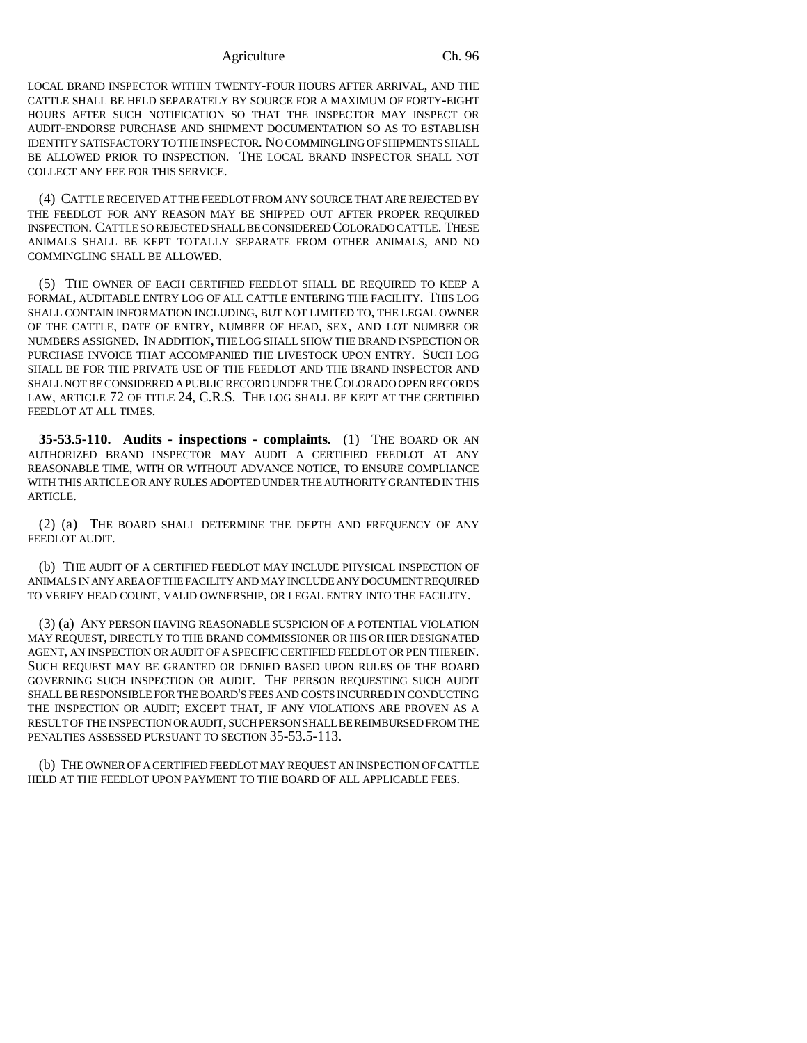LOCAL BRAND INSPECTOR WITHIN TWENTY-FOUR HOURS AFTER ARRIVAL, AND THE CATTLE SHALL BE HELD SEPARATELY BY SOURCE FOR A MAXIMUM OF FORTY-EIGHT HOURS AFTER SUCH NOTIFICATION SO THAT THE INSPECTOR MAY INSPECT OR AUDIT-ENDORSE PURCHASE AND SHIPMENT DOCUMENTATION SO AS TO ESTABLISH IDENTITY SATISFACTORY TO THE INSPECTOR. NO COMMINGLING OF SHIPMENTS SHALL BE ALLOWED PRIOR TO INSPECTION. THE LOCAL BRAND INSPECTOR SHALL NOT COLLECT ANY FEE FOR THIS SERVICE.

(4) CATTLE RECEIVED AT THE FEEDLOT FROM ANY SOURCE THAT ARE REJECTED BY THE FEEDLOT FOR ANY REASON MAY BE SHIPPED OUT AFTER PROPER REQUIRED INSPECTION. CATTLE SO REJECTED SHALL BE CONSIDERED COLORADO CATTLE. THESE ANIMALS SHALL BE KEPT TOTALLY SEPARATE FROM OTHER ANIMALS, AND NO COMMINGLING SHALL BE ALLOWED.

(5) THE OWNER OF EACH CERTIFIED FEEDLOT SHALL BE REQUIRED TO KEEP A FORMAL, AUDITABLE ENTRY LOG OF ALL CATTLE ENTERING THE FACILITY. THIS LOG SHALL CONTAIN INFORMATION INCLUDING, BUT NOT LIMITED TO, THE LEGAL OWNER OF THE CATTLE, DATE OF ENTRY, NUMBER OF HEAD, SEX, AND LOT NUMBER OR NUMBERS ASSIGNED. IN ADDITION, THE LOG SHALL SHOW THE BRAND INSPECTION OR PURCHASE INVOICE THAT ACCOMPANIED THE LIVESTOCK UPON ENTRY. SUCH LOG SHALL BE FOR THE PRIVATE USE OF THE FEEDLOT AND THE BRAND INSPECTOR AND SHALL NOT BE CONSIDERED A PUBLIC RECORD UNDER THE COLORADO OPEN RECORDS LAW, ARTICLE 72 OF TITLE 24, C.R.S. THE LOG SHALL BE KEPT AT THE CERTIFIED FEEDLOT AT ALL TIMES.

**35-53.5-110. Audits - inspections - complaints.** (1) THE BOARD OR AN AUTHORIZED BRAND INSPECTOR MAY AUDIT A CERTIFIED FEEDLOT AT ANY REASONABLE TIME, WITH OR WITHOUT ADVANCE NOTICE, TO ENSURE COMPLIANCE WITH THIS ARTICLE OR ANY RULES ADOPTED UNDER THE AUTHORITY GRANTED IN THIS ARTICLE.

(2) (a) THE BOARD SHALL DETERMINE THE DEPTH AND FREQUENCY OF ANY FEEDLOT AUDIT.

(b) THE AUDIT OF A CERTIFIED FEEDLOT MAY INCLUDE PHYSICAL INSPECTION OF ANIMALS IN ANY AREA OF THE FACILITY AND MAY INCLUDE ANY DOCUMENT REQUIRED TO VERIFY HEAD COUNT, VALID OWNERSHIP, OR LEGAL ENTRY INTO THE FACILITY.

(3) (a) ANY PERSON HAVING REASONABLE SUSPICION OF A POTENTIAL VIOLATION MAY REQUEST, DIRECTLY TO THE BRAND COMMISSIONER OR HIS OR HER DESIGNATED AGENT, AN INSPECTION OR AUDIT OF A SPECIFIC CERTIFIED FEEDLOT OR PEN THEREIN. SUCH REQUEST MAY BE GRANTED OR DENIED BASED UPON RULES OF THE BOARD GOVERNING SUCH INSPECTION OR AUDIT. THE PERSON REQUESTING SUCH AUDIT SHALL BE RESPONSIBLE FOR THE BOARD'S FEES AND COSTS INCURRED IN CONDUCTING THE INSPECTION OR AUDIT; EXCEPT THAT, IF ANY VIOLATIONS ARE PROVEN AS A RESULT OF THE INSPECTION OR AUDIT, SUCH PERSON SHALL BE REIMBURSED FROM THE PENALTIES ASSESSED PURSUANT TO SECTION 35-53.5-113.

(b) THE OWNER OF A CERTIFIED FEEDLOT MAY REQUEST AN INSPECTION OF CATTLE HELD AT THE FEEDLOT UPON PAYMENT TO THE BOARD OF ALL APPLICABLE FEES.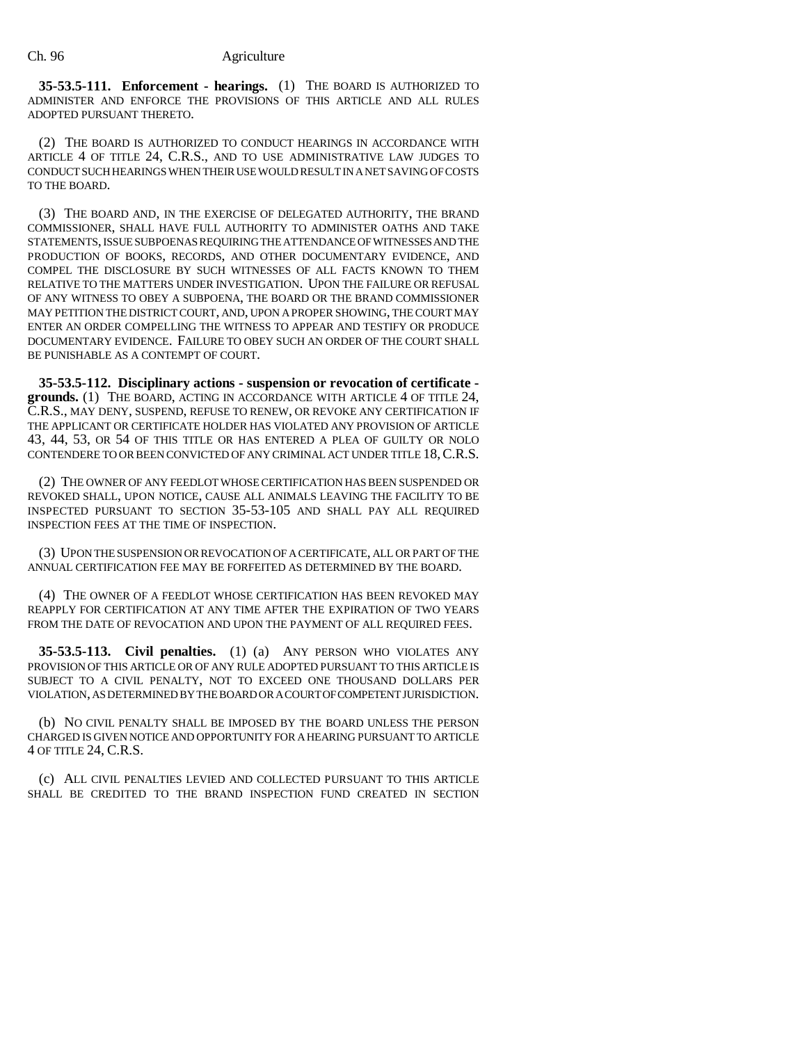**35-53.5-111. Enforcement - hearings.** (1) THE BOARD IS AUTHORIZED TO ADMINISTER AND ENFORCE THE PROVISIONS OF THIS ARTICLE AND ALL RULES ADOPTED PURSUANT THERETO.

(2) THE BOARD IS AUTHORIZED TO CONDUCT HEARINGS IN ACCORDANCE WITH ARTICLE 4 OF TITLE 24, C.R.S., AND TO USE ADMINISTRATIVE LAW JUDGES TO CONDUCT SUCH HEARINGS WHEN THEIR USE WOULD RESULT IN A NET SAVING OF COSTS TO THE BOARD.

(3) THE BOARD AND, IN THE EXERCISE OF DELEGATED AUTHORITY, THE BRAND COMMISSIONER, SHALL HAVE FULL AUTHORITY TO ADMINISTER OATHS AND TAKE STATEMENTS, ISSUE SUBPOENAS REQUIRING THE ATTENDANCE OF WITNESSES AND THE PRODUCTION OF BOOKS, RECORDS, AND OTHER DOCUMENTARY EVIDENCE, AND COMPEL THE DISCLOSURE BY SUCH WITNESSES OF ALL FACTS KNOWN TO THEM RELATIVE TO THE MATTERS UNDER INVESTIGATION. UPON THE FAILURE OR REFUSAL OF ANY WITNESS TO OBEY A SUBPOENA, THE BOARD OR THE BRAND COMMISSIONER MAY PETITION THE DISTRICT COURT, AND, UPON A PROPER SHOWING, THE COURT MAY ENTER AN ORDER COMPELLING THE WITNESS TO APPEAR AND TESTIFY OR PRODUCE DOCUMENTARY EVIDENCE. FAILURE TO OBEY SUCH AN ORDER OF THE COURT SHALL BE PUNISHABLE AS A CONTEMPT OF COURT.

**35-53.5-112. Disciplinary actions - suspension or revocation of certificate grounds.** (1) THE BOARD, ACTING IN ACCORDANCE WITH ARTICLE 4 OF TITLE 24, C.R.S., MAY DENY, SUSPEND, REFUSE TO RENEW, OR REVOKE ANY CERTIFICATION IF THE APPLICANT OR CERTIFICATE HOLDER HAS VIOLATED ANY PROVISION OF ARTICLE 43, 44, 53, OR 54 OF THIS TITLE OR HAS ENTERED A PLEA OF GUILTY OR NOLO CONTENDERE TO OR BEEN CONVICTED OF ANY CRIMINAL ACT UNDER TITLE 18,C.R.S.

(2) THE OWNER OF ANY FEEDLOT WHOSE CERTIFICATION HAS BEEN SUSPENDED OR REVOKED SHALL, UPON NOTICE, CAUSE ALL ANIMALS LEAVING THE FACILITY TO BE INSPECTED PURSUANT TO SECTION 35-53-105 AND SHALL PAY ALL REQUIRED INSPECTION FEES AT THE TIME OF INSPECTION.

(3) UPON THE SUSPENSION OR REVOCATION OF A CERTIFICATE, ALL OR PART OF THE ANNUAL CERTIFICATION FEE MAY BE FORFEITED AS DETERMINED BY THE BOARD.

(4) THE OWNER OF A FEEDLOT WHOSE CERTIFICATION HAS BEEN REVOKED MAY REAPPLY FOR CERTIFICATION AT ANY TIME AFTER THE EXPIRATION OF TWO YEARS FROM THE DATE OF REVOCATION AND UPON THE PAYMENT OF ALL REQUIRED FEES.

**35-53.5-113. Civil penalties.** (1) (a) ANY PERSON WHO VIOLATES ANY PROVISION OF THIS ARTICLE OR OF ANY RULE ADOPTED PURSUANT TO THIS ARTICLE IS SUBJECT TO A CIVIL PENALTY, NOT TO EXCEED ONE THOUSAND DOLLARS PER VIOLATION, AS DETERMINED BY THE BOARD OR A COURT OF COMPETENT JURISDICTION.

(b) NO CIVIL PENALTY SHALL BE IMPOSED BY THE BOARD UNLESS THE PERSON CHARGED IS GIVEN NOTICE AND OPPORTUNITY FOR A HEARING PURSUANT TO ARTICLE 4 OF TITLE 24, C.R.S.

(c) ALL CIVIL PENALTIES LEVIED AND COLLECTED PURSUANT TO THIS ARTICLE SHALL BE CREDITED TO THE BRAND INSPECTION FUND CREATED IN SECTION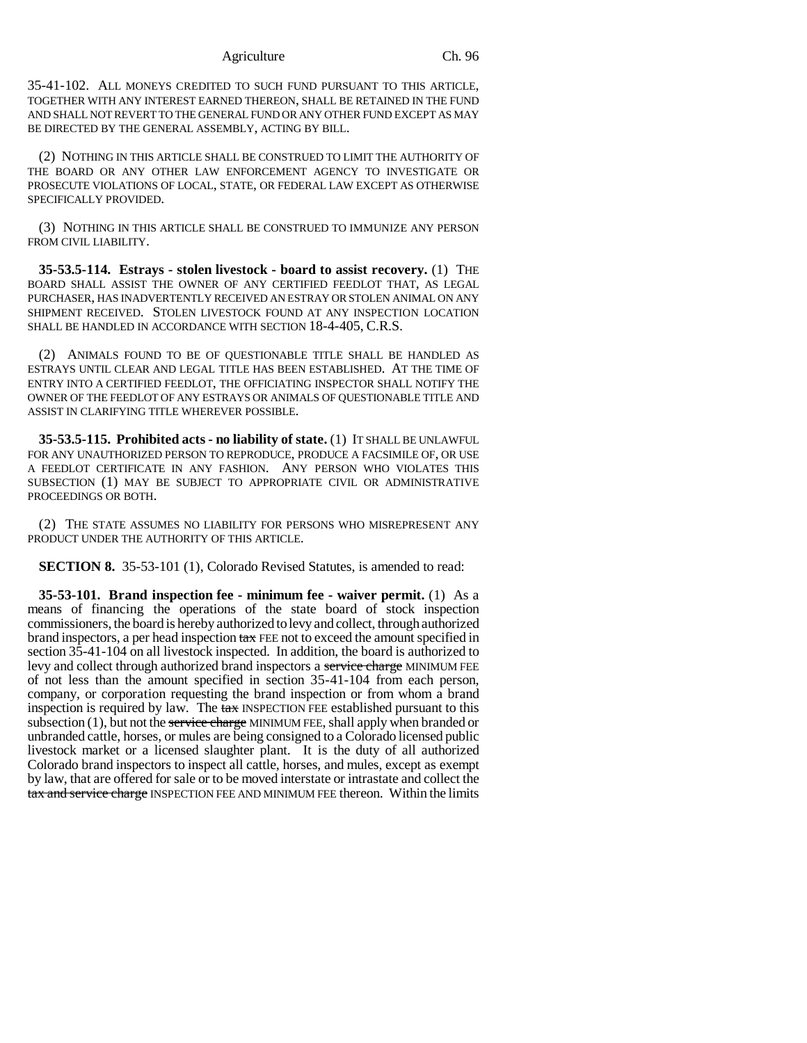35-41-102. ALL MONEYS CREDITED TO SUCH FUND PURSUANT TO THIS ARTICLE, TOGETHER WITH ANY INTEREST EARNED THEREON, SHALL BE RETAINED IN THE FUND AND SHALL NOT REVERT TO THE GENERAL FUND OR ANY OTHER FUND EXCEPT AS MAY BE DIRECTED BY THE GENERAL ASSEMBLY, ACTING BY BILL.

(2) NOTHING IN THIS ARTICLE SHALL BE CONSTRUED TO LIMIT THE AUTHORITY OF THE BOARD OR ANY OTHER LAW ENFORCEMENT AGENCY TO INVESTIGATE OR PROSECUTE VIOLATIONS OF LOCAL, STATE, OR FEDERAL LAW EXCEPT AS OTHERWISE SPECIFICALLY PROVIDED.

(3) NOTHING IN THIS ARTICLE SHALL BE CONSTRUED TO IMMUNIZE ANY PERSON FROM CIVIL LIABILITY.

**35-53.5-114. Estrays - stolen livestock - board to assist recovery.** (1) THE BOARD SHALL ASSIST THE OWNER OF ANY CERTIFIED FEEDLOT THAT, AS LEGAL PURCHASER, HAS INADVERTENTLY RECEIVED AN ESTRAY OR STOLEN ANIMAL ON ANY SHIPMENT RECEIVED. STOLEN LIVESTOCK FOUND AT ANY INSPECTION LOCATION SHALL BE HANDLED IN ACCORDANCE WITH SECTION 18-4-405, C.R.S.

(2) ANIMALS FOUND TO BE OF QUESTIONABLE TITLE SHALL BE HANDLED AS ESTRAYS UNTIL CLEAR AND LEGAL TITLE HAS BEEN ESTABLISHED. AT THE TIME OF ENTRY INTO A CERTIFIED FEEDLOT, THE OFFICIATING INSPECTOR SHALL NOTIFY THE OWNER OF THE FEEDLOT OF ANY ESTRAYS OR ANIMALS OF QUESTIONABLE TITLE AND ASSIST IN CLARIFYING TITLE WHEREVER POSSIBLE.

**35-53.5-115. Prohibited acts - no liability of state.** (1) IT SHALL BE UNLAWFUL FOR ANY UNAUTHORIZED PERSON TO REPRODUCE, PRODUCE A FACSIMILE OF, OR USE A FEEDLOT CERTIFICATE IN ANY FASHION. ANY PERSON WHO VIOLATES THIS SUBSECTION (1) MAY BE SUBJECT TO APPROPRIATE CIVIL OR ADMINISTRATIVE PROCEEDINGS OR BOTH.

(2) THE STATE ASSUMES NO LIABILITY FOR PERSONS WHO MISREPRESENT ANY PRODUCT UNDER THE AUTHORITY OF THIS ARTICLE.

**SECTION 8.** 35-53-101 (1), Colorado Revised Statutes, is amended to read:

**35-53-101. Brand inspection fee - minimum fee - waiver permit.** (1) As a means of financing the operations of the state board of stock inspection commissioners, the board is hereby authorized to levy and collect, through authorized brand inspectors, a per head inspection tax FEE not to exceed the amount specified in section 35-41-104 on all livestock inspected. In addition, the board is authorized to levy and collect through authorized brand inspectors a service charge MINIMUM FEE of not less than the amount specified in section 35-41-104 from each person, company, or corporation requesting the brand inspection or from whom a brand inspection is required by law. The tax INSPECTION FEE established pursuant to this subsection  $(1)$ , but not the service charge MINIMUM FEE, shall apply when branded or unbranded cattle, horses, or mules are being consigned to a Colorado licensed public livestock market or a licensed slaughter plant. It is the duty of all authorized Colorado brand inspectors to inspect all cattle, horses, and mules, except as exempt by law, that are offered for sale or to be moved interstate or intrastate and collect the tax and service charge INSPECTION FEE AND MINIMUM FEE thereon. Within the limits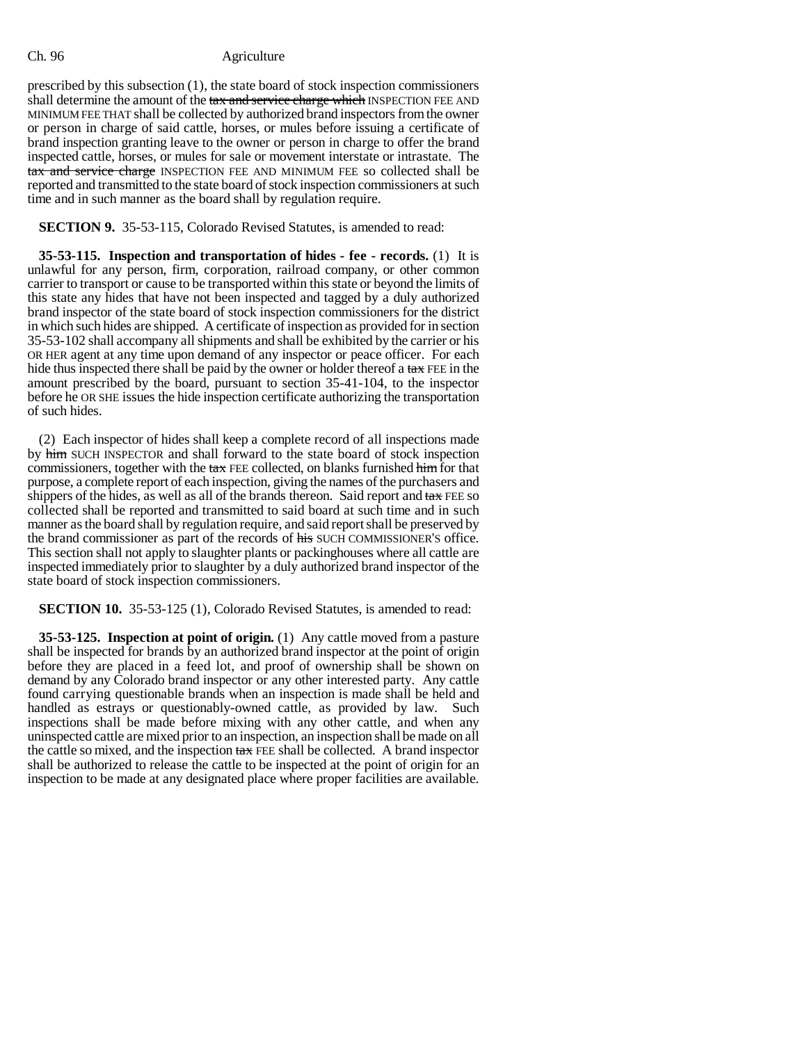prescribed by this subsection (1), the state board of stock inspection commissioners shall determine the amount of the tax and service charge which INSPECTION FEE AND MINIMUM FEE THAT shall be collected by authorized brand inspectors from the owner or person in charge of said cattle, horses, or mules before issuing a certificate of brand inspection granting leave to the owner or person in charge to offer the brand inspected cattle, horses, or mules for sale or movement interstate or intrastate. The tax and service charge INSPECTION FEE AND MINIMUM FEE so collected shall be reported and transmitted to the state board of stock inspection commissioners at such time and in such manner as the board shall by regulation require.

# **SECTION 9.** 35-53-115, Colorado Revised Statutes, is amended to read:

**35-53-115. Inspection and transportation of hides - fee - records.** (1) It is unlawful for any person, firm, corporation, railroad company, or other common carrier to transport or cause to be transported within this state or beyond the limits of this state any hides that have not been inspected and tagged by a duly authorized brand inspector of the state board of stock inspection commissioners for the district in which such hides are shipped. A certificate of inspection as provided for in section 35-53-102 shall accompany all shipments and shall be exhibited by the carrier or his OR HER agent at any time upon demand of any inspector or peace officer. For each hide thus inspected there shall be paid by the owner or holder thereof a tax FEE in the amount prescribed by the board, pursuant to section 35-41-104, to the inspector before he OR SHE issues the hide inspection certificate authorizing the transportation of such hides.

(2) Each inspector of hides shall keep a complete record of all inspections made by him SUCH INSPECTOR and shall forward to the state board of stock inspection commissioners, together with the  $\text{tax}$  FEE collected, on blanks furnished him for that purpose, a complete report of each inspection, giving the names of the purchasers and shippers of the hides, as well as all of the brands thereon. Said report and  $\text{tax}$  FEE so collected shall be reported and transmitted to said board at such time and in such manner as the board shall by regulation require, and said report shall be preserved by the brand commissioner as part of the records of his SUCH COMMISSIONER'S office. This section shall not apply to slaughter plants or packinghouses where all cattle are inspected immediately prior to slaughter by a duly authorized brand inspector of the state board of stock inspection commissioners.

# **SECTION 10.** 35-53-125 (1), Colorado Revised Statutes, is amended to read:

**35-53-125. Inspection at point of origin.** (1) Any cattle moved from a pasture shall be inspected for brands by an authorized brand inspector at the point of origin before they are placed in a feed lot, and proof of ownership shall be shown on demand by any Colorado brand inspector or any other interested party. Any cattle found carrying questionable brands when an inspection is made shall be held and handled as estrays or questionably-owned cattle, as provided by law. Such inspections shall be made before mixing with any other cattle, and when any uninspected cattle are mixed prior to an inspection, an inspection shall be made on all the cattle so mixed, and the inspection tax FEE shall be collected. A brand inspector shall be authorized to release the cattle to be inspected at the point of origin for an inspection to be made at any designated place where proper facilities are available.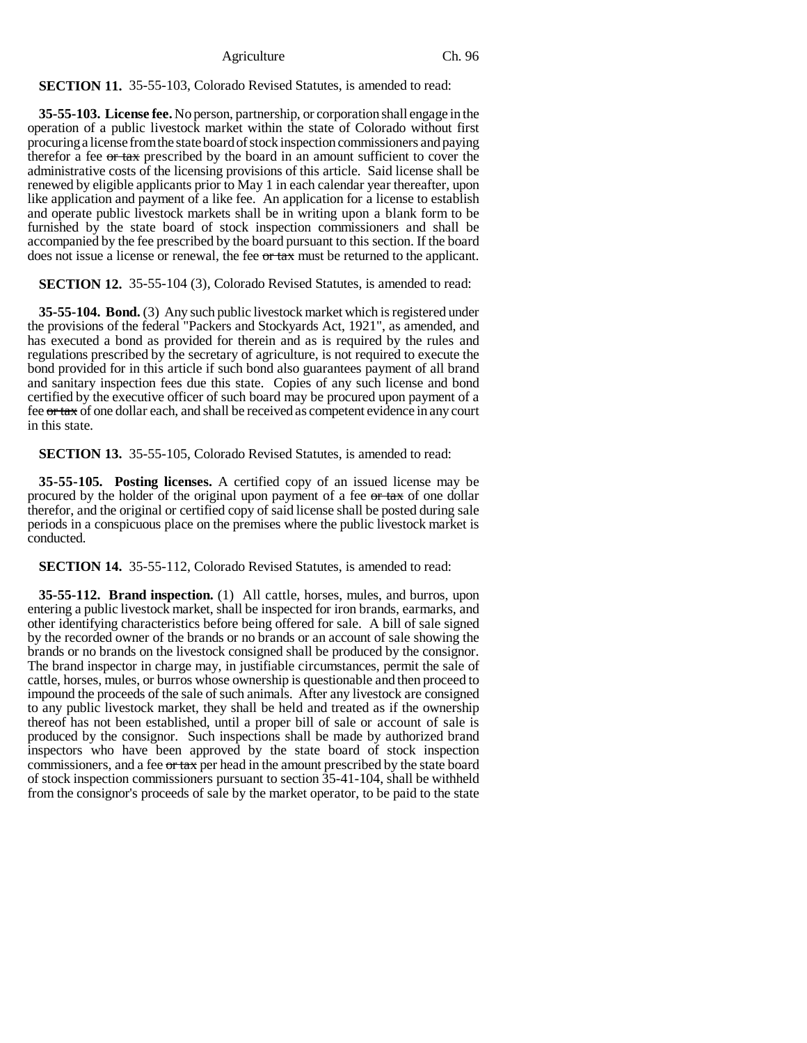**SECTION 11.** 35-55-103, Colorado Revised Statutes, is amended to read:

**35-55-103. License fee.** No person, partnership, or corporation shall engage in the operation of a public livestock market within the state of Colorado without first procuring a license from the state board of stock inspection commissioners and paying therefor a fee or tax prescribed by the board in an amount sufficient to cover the administrative costs of the licensing provisions of this article. Said license shall be renewed by eligible applicants prior to May 1 in each calendar year thereafter, upon like application and payment of a like fee. An application for a license to establish and operate public livestock markets shall be in writing upon a blank form to be furnished by the state board of stock inspection commissioners and shall be accompanied by the fee prescribed by the board pursuant to this section. If the board does not issue a license or renewal, the fee or tax must be returned to the applicant.

**SECTION 12.** 35-55-104 (3), Colorado Revised Statutes, is amended to read:

**35-55-104. Bond.** (3) Any such public livestock market which is registered under the provisions of the federal "Packers and Stockyards Act, 1921", as amended, and has executed a bond as provided for therein and as is required by the rules and regulations prescribed by the secretary of agriculture, is not required to execute the bond provided for in this article if such bond also guarantees payment of all brand and sanitary inspection fees due this state. Copies of any such license and bond certified by the executive officer of such board may be procured upon payment of a fee or tax of one dollar each, and shall be received as competent evidence in any court in this state.

**SECTION 13.** 35-55-105, Colorado Revised Statutes, is amended to read:

**35-55-105. Posting licenses.** A certified copy of an issued license may be procured by the holder of the original upon payment of a fee or tax of one dollar therefor, and the original or certified copy of said license shall be posted during sale periods in a conspicuous place on the premises where the public livestock market is conducted.

**SECTION 14.** 35-55-112, Colorado Revised Statutes, is amended to read:

**35-55-112. Brand inspection.** (1) All cattle, horses, mules, and burros, upon entering a public livestock market, shall be inspected for iron brands, earmarks, and other identifying characteristics before being offered for sale. A bill of sale signed by the recorded owner of the brands or no brands or an account of sale showing the brands or no brands on the livestock consigned shall be produced by the consignor. The brand inspector in charge may, in justifiable circumstances, permit the sale of cattle, horses, mules, or burros whose ownership is questionable and then proceed to impound the proceeds of the sale of such animals. After any livestock are consigned to any public livestock market, they shall be held and treated as if the ownership thereof has not been established, until a proper bill of sale or account of sale is produced by the consignor. Such inspections shall be made by authorized brand inspectors who have been approved by the state board of stock inspection commissioners, and a fee  $\sigma$  tax per head in the amount prescribed by the state board of stock inspection commissioners pursuant to section 35-41-104, shall be withheld from the consignor's proceeds of sale by the market operator, to be paid to the state